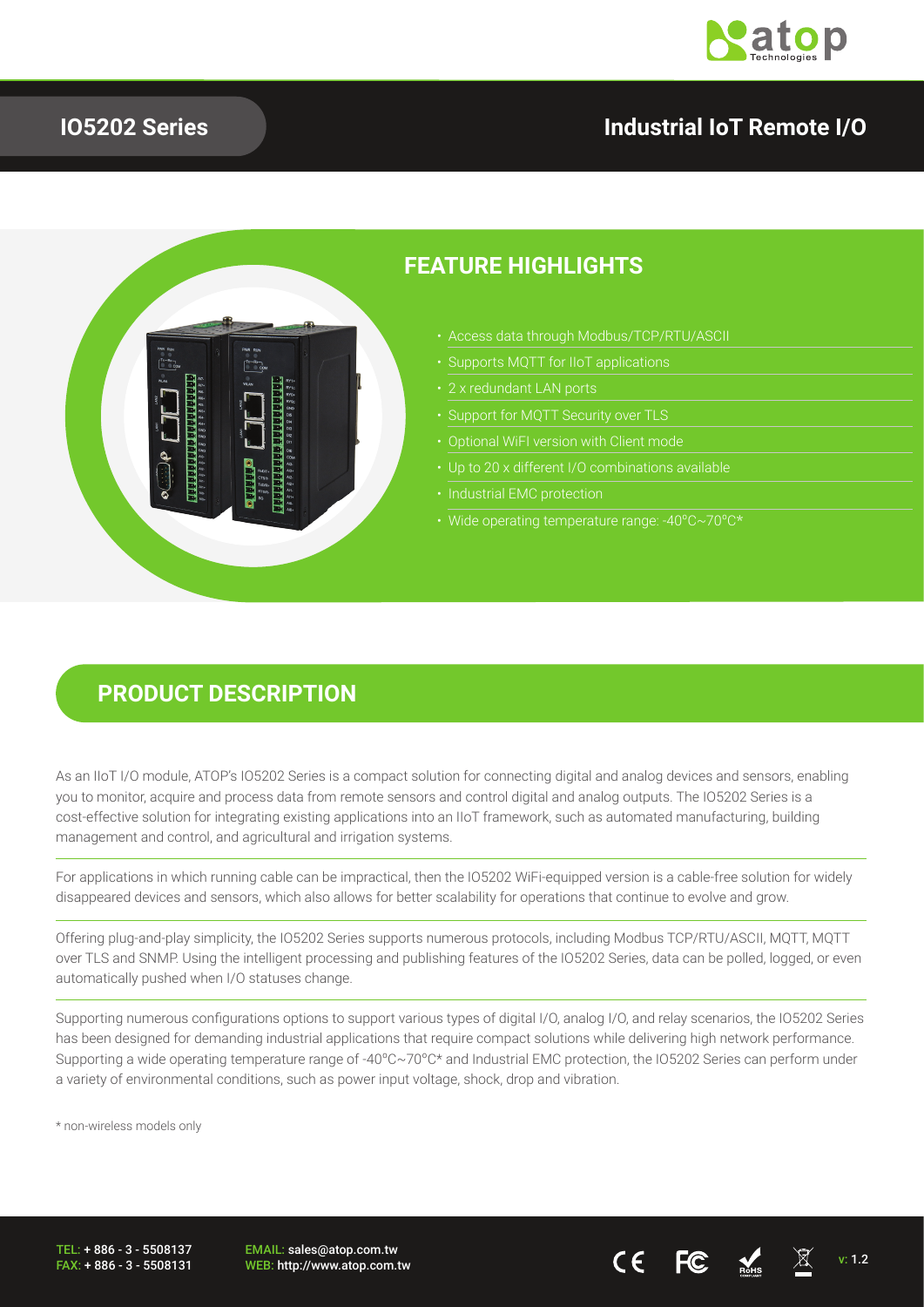

## **IO5202 Series**

## **Industrial IoT Remote I/O**



## **FEATURE HIGHLIGHTS**

- Access data through Modbus/TCP/RTU/ASCII
- 
- 
- 
- 
- 
- 
- Wide operating temperature range: -40ºC~70ºC\*

### **PRODUCT DESCRIPTION**

As an IIoT I/O module, ATOP's IO5202 Series is a compact solution for connecting digital and analog devices and sensors, enabling you to monitor, acquire and process data from remote sensors and control digital and analog outputs. The IO5202 Series is a cost-effective solution for integrating existing applications into an IIoT framework, such as automated manufacturing, building management and control, and agricultural and irrigation systems.

For applications in which running cable can be impractical, then the IO5202 WiFi-equipped version is a cable-free solution for widely disappeared devices and sensors, which also allows for better scalability for operations that continue to evolve and grow.

Offering plug-and-play simplicity, the IO5202 Series supports numerous protocols, including Modbus TCP/RTU/ASCII, MQTT, MQTT over TLS and SNMP. Using the intelligent processing and publishing features of the IO5202 Series, data can be polled, logged, or even automatically pushed when I/O statuses change.

Supporting numerous configurations options to support various types of digital I/O, analog I/O, and relay scenarios, the IO5202 Series has been designed for demanding industrial applications that require compact solutions while delivering high network performance. Supporting a wide operating temperature range of -40ºC~70ºC\* and Industrial EMC protection, the IO5202 Series can perform under a variety of environmental conditions, such as power input voltage, shock, drop and vibration.

\* non-wireless models only

TEL: + 886 - 3 - 5508137 FAX: + 886 - 3 - 5508131 EMAIL: sales@atop.com.tw EWAIL. Sales@atop.com.tw  $\overline{C}$   $\overline{C}$   $\overline{C}$   $\overline{C}$   $\overline{M}$  v: 1.2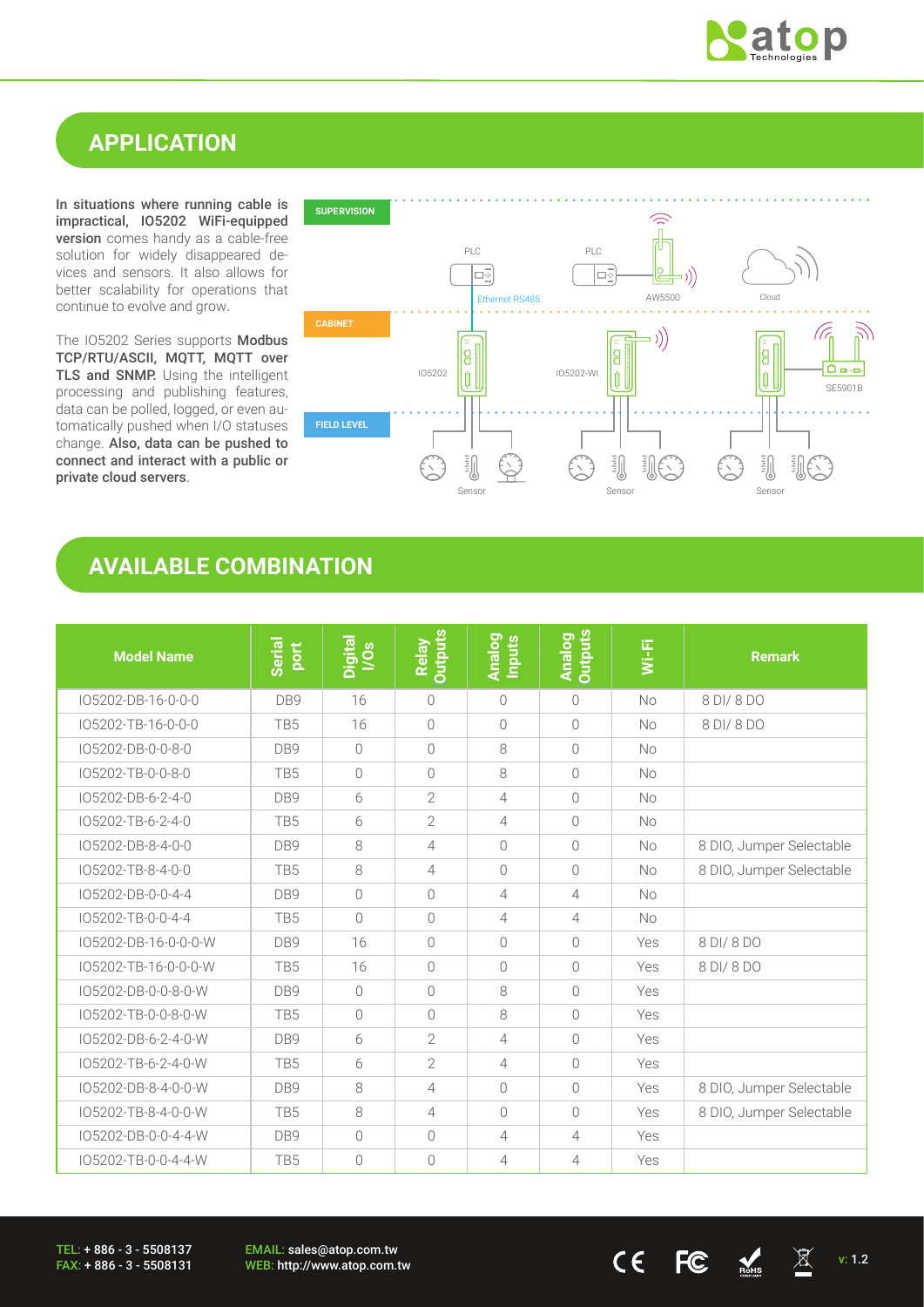

## **APPLICATION**

In situations where running cable is impractical, IO5202 WiFi-equipped version comes handy as a cable-free solution for widely disappeared devices and sensors. It also allows for better scalability for operations that continue to evolve and grow.

The IO5202 Series supports Modbus TCP/RTU/ASCII, MQTT, MQTT over TLS and SNMP. Using the intelligent processing and publishing features, data can be polled, logged, or even automatically pushed when I/O statuses change. Also, data can be pushed to connect and interact with a public or private cloud servers.



## **AVAILABLE COMBINATION**

| <b>Model Name</b>    | <b>Serial</b><br>port | Digital<br>I/Os | <b>Outputs</b><br>Relay | <b>Analog</b><br>Inputs | <b>Analog</b><br>Outputs | Wi-Fi     | <b>Remark</b>            |
|----------------------|-----------------------|-----------------|-------------------------|-------------------------|--------------------------|-----------|--------------------------|
| IO5202-DB-16-0-0-0   | DB9                   | 16              | $\bigcirc$              | $\bigcirc$              | $\bigcirc$               | No        | 8 DI/ 8 DO               |
| IO5202-TB-16-0-0-0   | TB5                   | 16              | $\overline{0}$          | $\bigcirc$              | $\bigcirc$               | <b>No</b> | 8 DI/ 8 DO               |
| IO5202-DB-0-0-8-0    | DB9                   | $\bigcap$       | $\bigcirc$              | 8                       | $\bigcirc$               | <b>No</b> |                          |
| IO5202-TB-0-0-8-0    | TB <sub>5</sub>       | $\bigcirc$      | $\overline{0}$          | 8                       | $\bigcirc$               | <b>No</b> |                          |
| IO5202-DB-6-2-4-0    | DB <sub>9</sub>       | 6               | $\overline{2}$          | 4                       | $\sqrt{a}$               | <b>No</b> |                          |
| IO5202-TB-6-2-4-0    | TB <sub>5</sub>       | 6               | $\overline{2}$          | $\overline{4}$          | $\bigcirc$               | <b>No</b> |                          |
| IO5202-DB-8-4-0-0    | DB <sub>9</sub>       | 8               | 4                       | $\bigcirc$              | $\bigcirc$               | <b>No</b> | 8 DIO, Jumper Selectable |
| IO5202-TB-8-4-0-0    | TB <sub>5</sub>       | 8               | $\overline{4}$          | $\bigcirc$              | $\bigcirc$               | <b>No</b> | 8 DIO, Jumper Selectable |
| IO5202-DB-0-0-4-4    | DB <sub>9</sub>       | $\bigcirc$      | $\bigcirc$              | $\overline{4}$          | $\overline{4}$           | <b>No</b> |                          |
| IO5202-TB-0-0-4-4    | TB <sub>5</sub>       | $\bigcirc$      | $\bigcirc$              | $\overline{4}$          | $\overline{4}$           | No        |                          |
| IO5202-DB-16-0-0-0-W | DB9                   | 16              | $\bigcirc$              | $\bigcirc$              | $\bigcap$                | Yes       | 8 DI/ 8 DO               |
| IO5202-TB-16-0-0-0-W | TB <sub>5</sub>       | 16              | $\bigcirc$              | $\bigcirc$              | $\overline{0}$           | Yes       | 8 DI/ 8 DO               |
| IO5202-DB-0-0-8-0-W  | DB9                   | $\bigcirc$      | $\bigcirc$              | 8                       | $\bigcap$                | Yes       |                          |
| IO5202-TB-0-0-8-0-W  | TB <sub>5</sub>       | $\bigcirc$      | $\bigcirc$              | 8                       | $\bigcap$                | Yes       |                          |
| IO5202-DB-6-2-4-0-W  | DB9                   | 6               | $\overline{2}$          | 4                       | $\bigcap$                | Yes       |                          |
| IO5202-TB-6-2-4-0-W  | TB5                   | 6               | $\overline{2}$          | $\overline{4}$          | $\bigcap$                | Yes       |                          |
| IO5202-DB-8-4-0-0-W  | DB <sub>9</sub>       | 8               | 4                       | $\bigcap$               | $\overline{0}$           | Yes       | 8 DIO, Jumper Selectable |
| IO5202-TB-8-4-0-0-W  | TB <sub>5</sub>       | 8               | 4                       | $\bigcap$               | $\bigcap$                | Yes       | 8 DIO, Jumper Selectable |
| IO5202-DB-0-0-4-4-W  | DB <sub>9</sub>       | $\bigcirc$      | $\sqrt{a}$              | 4                       | $\overline{4}$           | Yes       |                          |
| IO5202-TB-0-0-4-4-W  | TB5                   | $\bigcirc$      | $\bigcap$               | 4                       | $\overline{4}$           | Yes       |                          |

TEL: + 886 - 3 - 5508137 FAX: + 886 - 3 - 5508131 EMAIL: sales@atop.com.tw

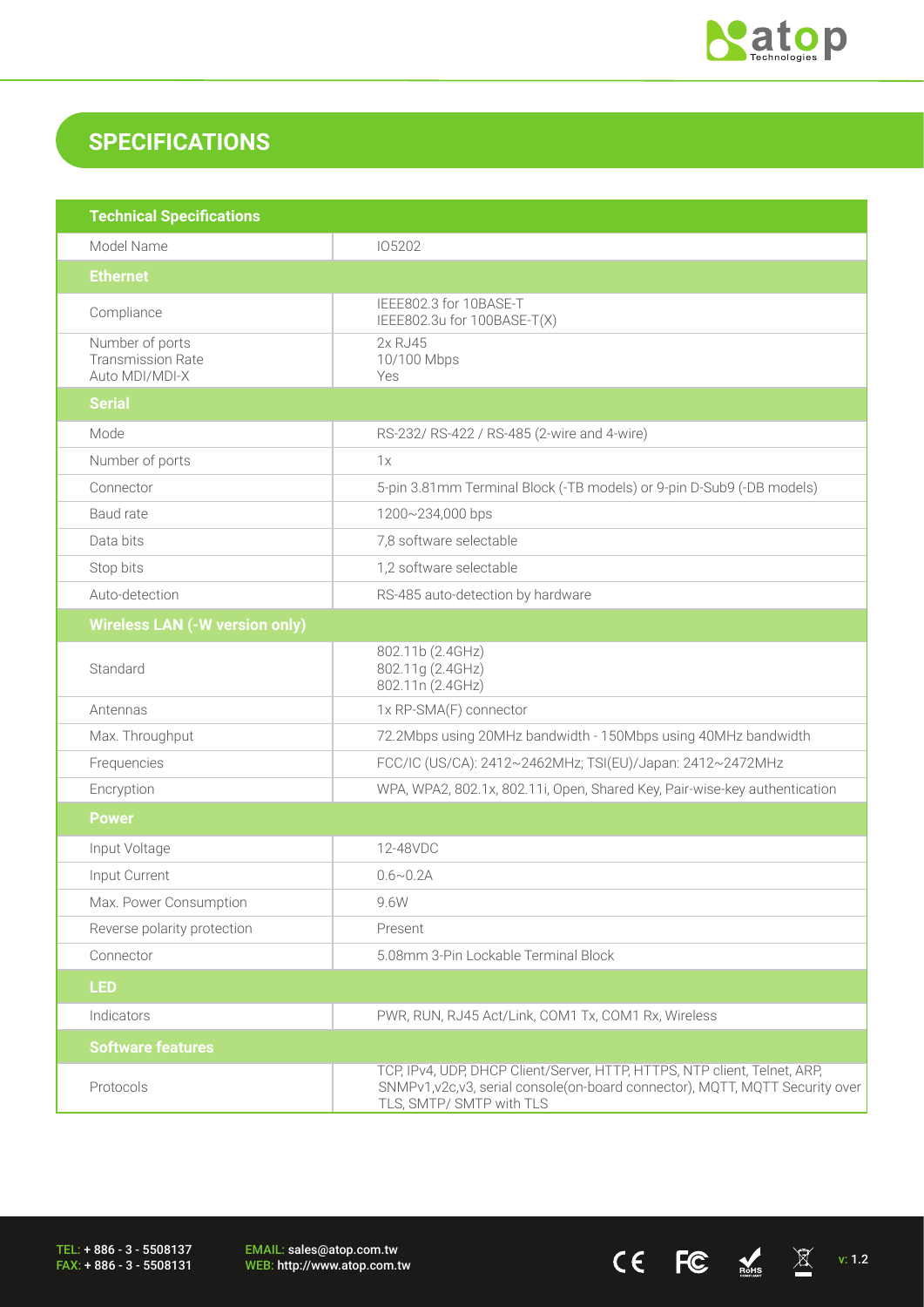

 $CE$  FC  $M_{\text{miss}}$   $\overline{\mathbb{X}}$  v: 1.2

## **SPECIFICATIONS**

| <b>Technical Specifications</b>                               |                                                                                                                                                                                        |
|---------------------------------------------------------------|----------------------------------------------------------------------------------------------------------------------------------------------------------------------------------------|
| Model Name                                                    | 105202                                                                                                                                                                                 |
| <b>Ethernet</b>                                               |                                                                                                                                                                                        |
| Compliance                                                    | IEEE802.3 for 10BASE-T<br>IEEE802.3u for 100BASE-T(X)                                                                                                                                  |
| Number of ports<br><b>Transmission Rate</b><br>Auto MDI/MDI-X | 2x RJ45<br>10/100 Mbps<br>Yes                                                                                                                                                          |
| <b>Serial</b>                                                 |                                                                                                                                                                                        |
| Mode                                                          | RS-232/ RS-422 / RS-485 (2-wire and 4-wire)                                                                                                                                            |
| Number of ports                                               | 1x                                                                                                                                                                                     |
| Connector                                                     | 5-pin 3.81mm Terminal Block (-TB models) or 9-pin D-Sub9 (-DB models)                                                                                                                  |
| Baud rate                                                     | 1200~234,000 bps                                                                                                                                                                       |
| Data bits                                                     | 7,8 software selectable                                                                                                                                                                |
| Stop bits                                                     | 1,2 software selectable                                                                                                                                                                |
| Auto-detection                                                | RS-485 auto-detection by hardware                                                                                                                                                      |
| <b>Wireless LAN (-W version only)</b>                         |                                                                                                                                                                                        |
| Standard                                                      | 802.11b (2.4GHz)<br>802.11g (2.4GHz)<br>802.11n (2.4GHz)                                                                                                                               |
| Antennas                                                      | 1x RP-SMA(F) connector                                                                                                                                                                 |
| Max. Throughput                                               | 72.2Mbps using 20MHz bandwidth - 150Mbps using 40MHz bandwidth                                                                                                                         |
| Frequencies                                                   | FCC/IC (US/CA): 2412~2462MHz; TSI(EU)/Japan: 2412~2472MHz                                                                                                                              |
| Encryption                                                    | WPA, WPA2, 802.1x, 802.11i, Open, Shared Key, Pair-wise-key authentication                                                                                                             |
| <b>Power</b>                                                  |                                                                                                                                                                                        |
| Input Voltage                                                 | 12-48VDC                                                                                                                                                                               |
| Input Current                                                 | $0.6 \sim 0.2$ A                                                                                                                                                                       |
| Max. Power Consumption                                        | 9.6W                                                                                                                                                                                   |
| Reverse polarity protection                                   | Present                                                                                                                                                                                |
| Connector                                                     | 5.08mm 3-Pin Lockable Terminal Block                                                                                                                                                   |
| <b>LED</b>                                                    |                                                                                                                                                                                        |
| Indicators                                                    | PWR, RUN, RJ45 Act/Link, COM1 Tx, COM1 Rx, Wireless                                                                                                                                    |
| <b>Software features</b>                                      |                                                                                                                                                                                        |
| Protocols                                                     | TCP, IPv4, UDP, DHCP Client/Server, HTTP, HTTPS, NTP client, Telnet, ARP,<br>SNMPv1, v2c, v3, serial console(on-board connector), MQTT, MQTT Security over<br>TLS, SMTP/ SMTP with TLS |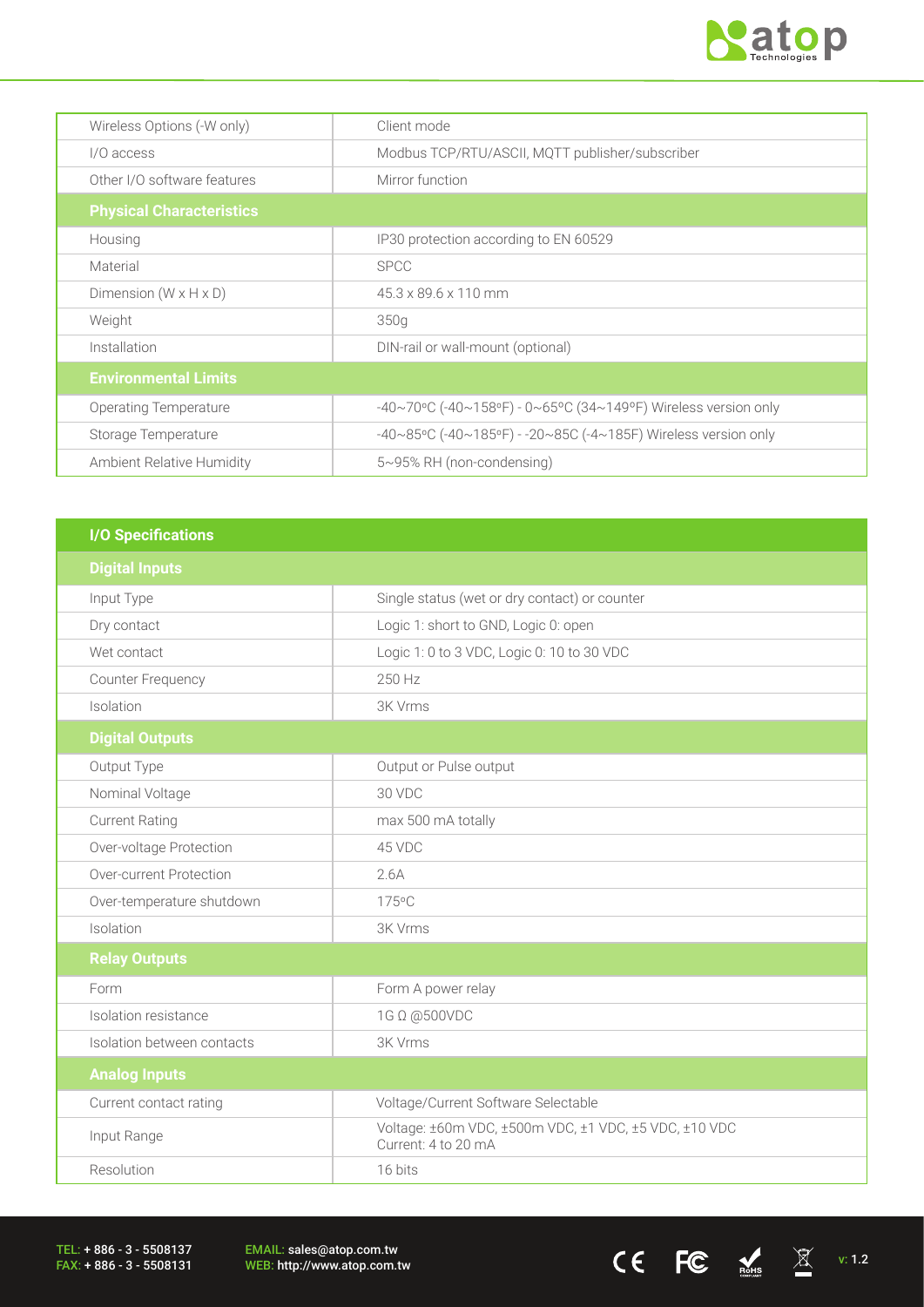

 $CE$  FC  $M_{\text{B,obs}}$   $\boxtimes$  v: 1.2

| Wireless Options (-W only)          | Client mode                                                    |
|-------------------------------------|----------------------------------------------------------------|
| I/O access                          | Modbus TCP/RTU/ASCII, MQTT publisher/subscriber                |
| Other I/O software features         | Mirror function                                                |
| <b>Physical Characteristics</b>     |                                                                |
| Housing                             | IP30 protection according to EN 60529                          |
| Material                            | <b>SPCC</b>                                                    |
| Dimension ( $W \times H \times D$ ) | 45.3 x 89.6 x 110 mm                                           |
| Weight                              | 350g                                                           |
| Installation                        | DIN-rail or wall-mount (optional)                              |
| <b>Environmental Limits</b>         |                                                                |
| Operating Temperature               | -40~70°C (-40~158°F) - 0~65°C (34~149°F) Wireless version only |
| Storage Temperature                 | -40~85°C (-40~185°F) - -20~85C (-4~185F) Wireless version only |
| Ambient Relative Humidity           | $5~95\%$ RH (non-condensing)                                   |

| <b>I/O Specifications</b>  |                                                                              |
|----------------------------|------------------------------------------------------------------------------|
| <b>Digital Inputs</b>      |                                                                              |
| Input Type                 | Single status (wet or dry contact) or counter                                |
| Dry contact                | Logic 1: short to GND, Logic 0: open                                         |
| Wet contact                | Logic 1: 0 to 3 VDC, Logic 0: 10 to 30 VDC                                   |
| <b>Counter Frequency</b>   | 250 Hz                                                                       |
| Isolation                  | 3K Vrms                                                                      |
| <b>Digital Outputs</b>     |                                                                              |
| Output Type                | Output or Pulse output                                                       |
| Nominal Voltage            | 30 VDC                                                                       |
| <b>Current Rating</b>      | max 500 mA totally                                                           |
| Over-voltage Protection    | 45 VDC                                                                       |
| Over-current Protection    | 2.6A                                                                         |
| Over-temperature shutdown  | 175°C                                                                        |
| Isolation                  | 3K Vrms                                                                      |
| <b>Relay Outputs</b>       |                                                                              |
| Form                       | Form A power relay                                                           |
| Isolation resistance       | 1G Ω @500VDC                                                                 |
| Isolation between contacts | 3K Vrms                                                                      |
| <b>Analog Inputs</b>       |                                                                              |
| Current contact rating     | Voltage/Current Software Selectable                                          |
| Input Range                | Voltage: ±60m VDC, ±500m VDC, ±1 VDC, ±5 VDC, ±10 VDC<br>Current: 4 to 20 mA |
| Resolution                 | 16 bits                                                                      |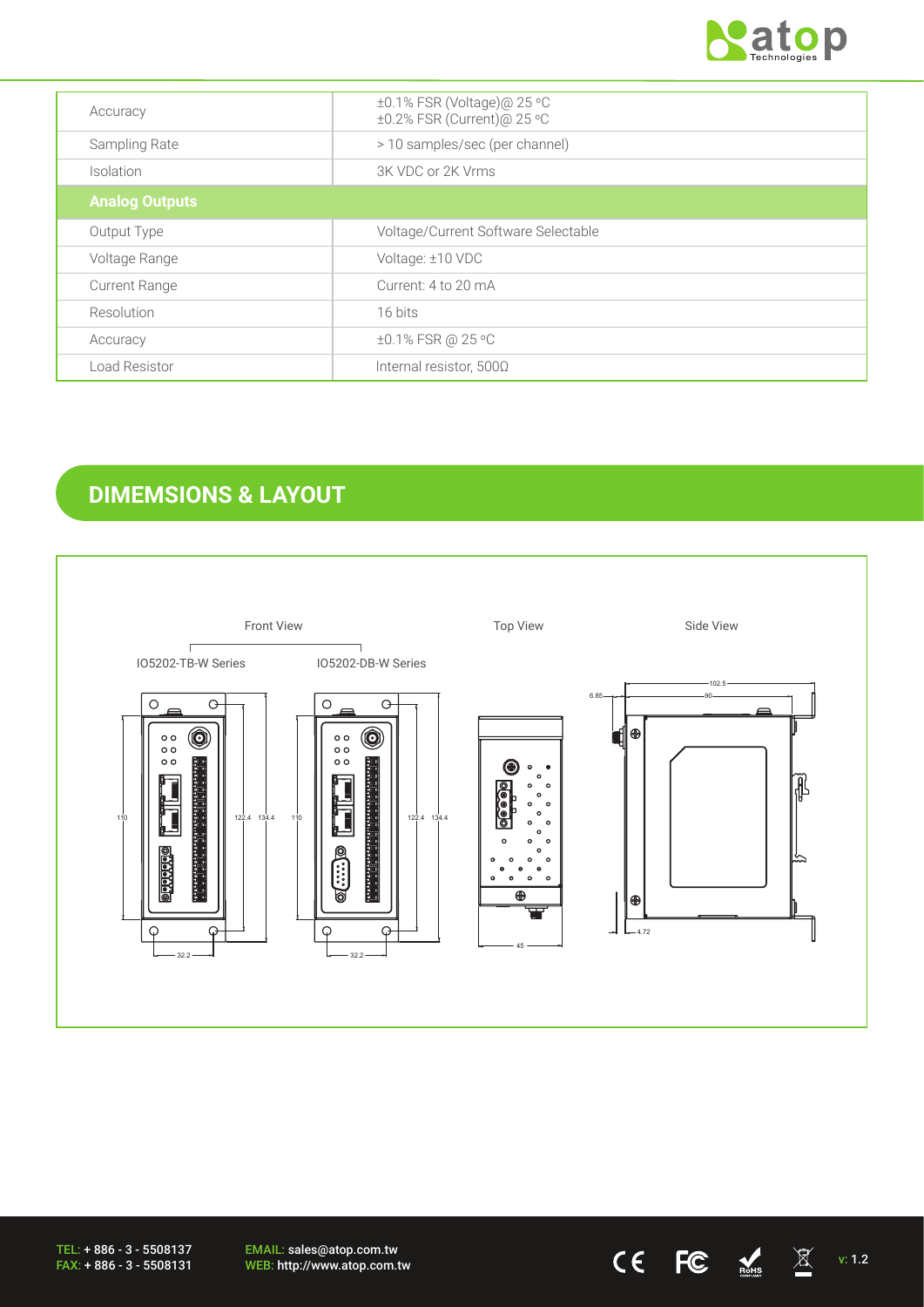

| Accuracy              | ±0.1% FSR (Voltage)@ 25 °C<br>±0.2% FSR (Current)@ 25 °C |
|-----------------------|----------------------------------------------------------|
| Sampling Rate         | > 10 samples/sec (per channel)                           |
| Isolation             | 3K VDC or 2K Vrms                                        |
| <b>Analog Outputs</b> |                                                          |
| Output Type           | Voltage/Current Software Selectable                      |
| Voltage Range         | Voltage: ±10 VDC                                         |
| <b>Current Range</b>  | Current: 4 to 20 mA                                      |
| Resolution            | 16 bits                                                  |
| Accuracy              | ±0.1% FSR @ 25 °C                                        |
| Load Resistor         | Internal resistor, $500\Omega$                           |

# **DIMEMSIONS & LAYOUT**



EMAIL: sales@atop.com.tw EMAIL: sales@atop.com.tw<br>WEB: http://www.atop.com.tw **v: 1.2** v: 1.2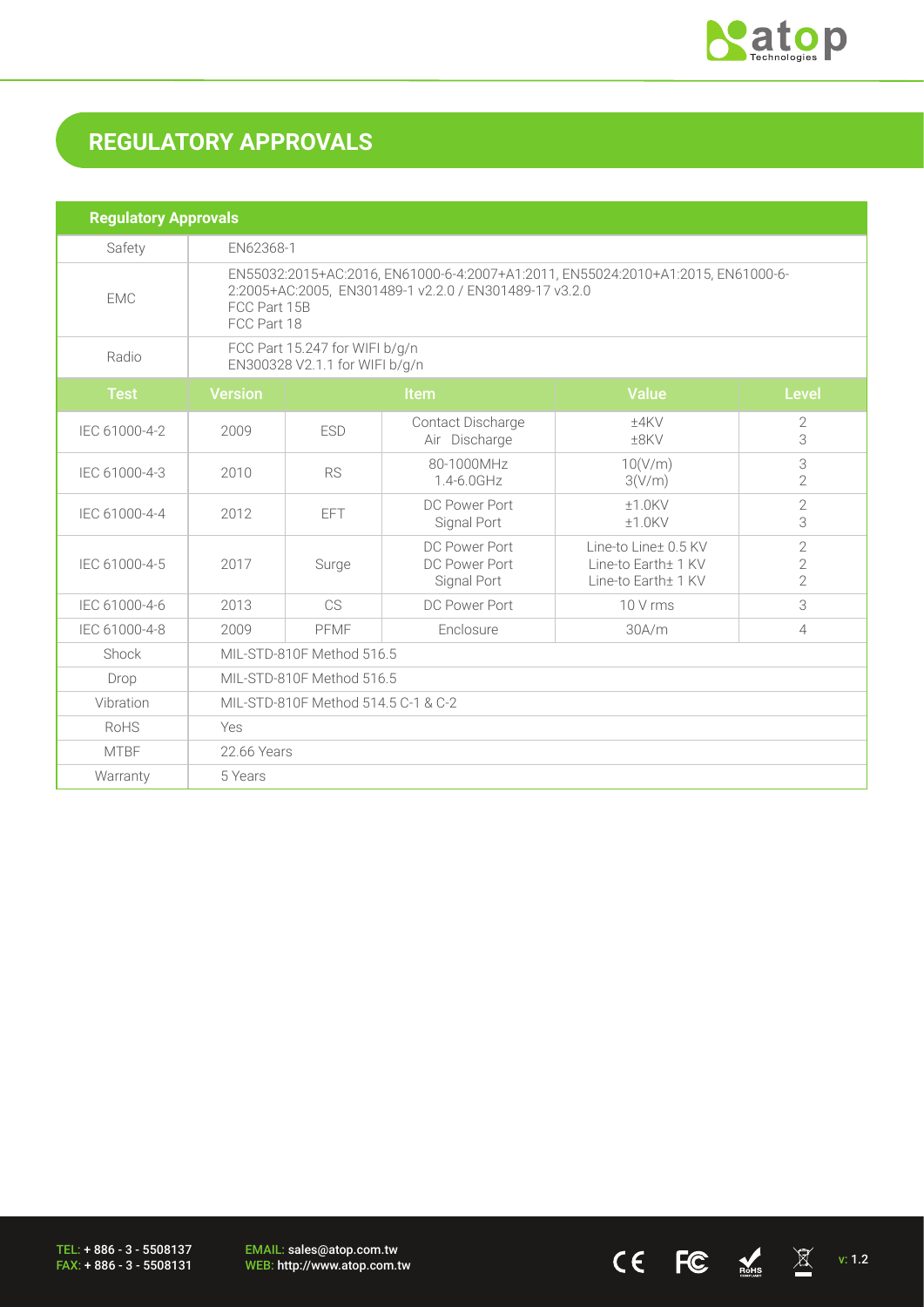

 $CE$   $FC$   $N$   $N$   $V: 1.2$ 

# **REGULATORY APPROVALS**

| <b>Regulatory Approvals</b> |                                                                                                                                                                           |            |                                               |                                                                    |                                                    |  |
|-----------------------------|---------------------------------------------------------------------------------------------------------------------------------------------------------------------------|------------|-----------------------------------------------|--------------------------------------------------------------------|----------------------------------------------------|--|
| Safety                      |                                                                                                                                                                           | EN62368-1  |                                               |                                                                    |                                                    |  |
| <b>EMC</b>                  | EN55032:2015+AC:2016, EN61000-6-4:2007+A1:2011, EN55024:2010+A1:2015, EN61000-6-<br>2:2005+AC:2005, EN301489-1 v2.2.0 / EN301489-17 v3.2.0<br>FCC Part 15B<br>FCC Part 18 |            |                                               |                                                                    |                                                    |  |
| Radio                       | FCC Part 15.247 for WIFI b/g/n<br>EN300328 V2.1.1 for WIFI b/g/n                                                                                                          |            |                                               |                                                                    |                                                    |  |
| <b>Test</b>                 | <b>Version</b>                                                                                                                                                            |            | <b>Item</b>                                   | <b>Value</b>                                                       | <b>Level</b>                                       |  |
| IEC 61000-4-2               | 2009                                                                                                                                                                      | <b>ESD</b> | Contact Discharge<br>Air Discharge            | ±4KV<br>$±8$ KV                                                    | 2<br>3                                             |  |
| IEC 61000-4-3               | 2010                                                                                                                                                                      | <b>RS</b>  | 80-1000MHz<br>1.4-6.0GHz                      | 10(V/m)<br>3(V/m)                                                  | $\ensuremath{\mathsf{3}}$<br>$\overline{2}$        |  |
| IEC 61000-4-4               | 2012                                                                                                                                                                      | EFT.       | DC Power Port<br>Signal Port                  | $±1.0$ KV<br>$±1.0$ KV                                             | $\overline{2}$<br>3                                |  |
| IEC 61000-4-5               | 2017                                                                                                                                                                      | Surge      | DC Power Port<br>DC Power Port<br>Signal Port | Line-to Line± 0.5 KV<br>Line-to Earth± 1 KV<br>Line-to Earth+ 1 KV | $\overline{2}$<br>$\overline{2}$<br>$\overline{2}$ |  |
| IEC 61000-4-6               | 2013                                                                                                                                                                      | CS.        | DC Power Port                                 | 10 V rms                                                           | 3                                                  |  |
| IEC 61000-4-8               | 2009                                                                                                                                                                      | PFMF       | Enclosure                                     | 30A/m                                                              | $\overline{4}$                                     |  |
| Shock                       | MIL-STD-810F Method 516.5                                                                                                                                                 |            |                                               |                                                                    |                                                    |  |
| Drop                        | MIL-STD-810F Method 516.5                                                                                                                                                 |            |                                               |                                                                    |                                                    |  |
| Vibration                   | MIL-STD-810F Method 514.5 C-1 & C-2                                                                                                                                       |            |                                               |                                                                    |                                                    |  |
| RoHS                        | Yes                                                                                                                                                                       |            |                                               |                                                                    |                                                    |  |
| <b>MTBF</b>                 | 22.66 Years                                                                                                                                                               |            |                                               |                                                                    |                                                    |  |
| Warranty                    | 5 Years                                                                                                                                                                   |            |                                               |                                                                    |                                                    |  |